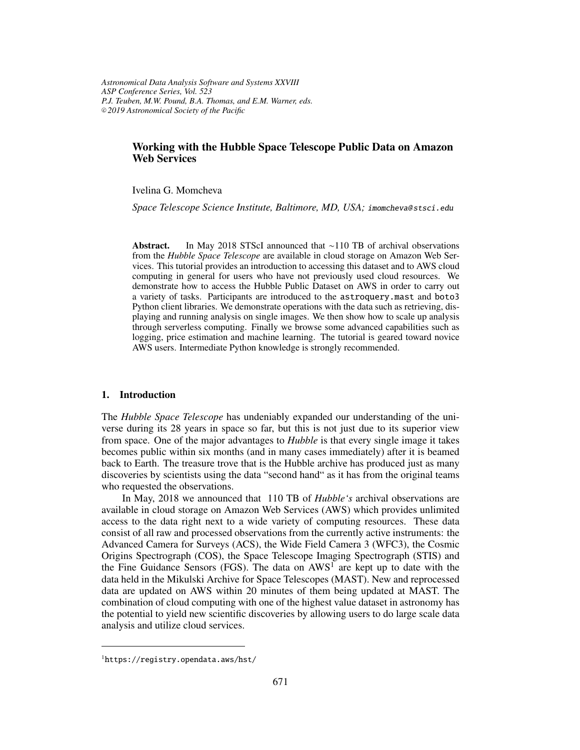*Astronomical Data Analysis Software and Systems XXVIII ASP Conference Series, Vol. 523 P.J. Teuben, M.W. Pound, B.A. Thomas, and E.M. Warner, eds.* <sup>c</sup> *2019 Astronomical Society of the Pacific*

# **Working with the Hubble Space Telescope Public Data on Amazon Web Services**

Ivelina G. Momcheva

*Space Telescope Science Institute, Baltimore, MD, USA;* imomcheva@ stsci.edu

**Abstract.** In May 2018 STScI announced that ∼110 TB of archival observations from the *Hubble Space Telescope* are available in cloud storage on Amazon Web Services. This tutorial provides an introduction to accessing this dataset and to AWS cloud computing in general for users who have not previously used cloud resources. We demonstrate how to access the Hubble Public Dataset on AWS in order to carry out a variety of tasks. Participants are introduced to the astroquery.mast and boto3 Python client libraries. We demonstrate operations with the data such as retrieving, displaying and running analysis on single images. We then show how to scale up analysis through serverless computing. Finally we browse some advanced capabilities such as logging, price estimation and machine learning. The tutorial is geared toward novice AWS users. Intermediate Python knowledge is strongly recommended.

### **1. Introduction**

The *Hubble Space Telescope* has undeniably expanded our understanding of the universe during its 28 years in space so far, but this is not just due to its superior view from space. One of the major advantages to *Hubble* is that every single image it takes becomes public within six months (and in many cases immediately) after it is beamed back to Earth. The treasure trove that is the Hubble archive has produced just as many discoveries by scientists using the data "second hand" as it has from the original teams who requested the observations.

In May, 2018 we announced that 110 TB of *Hubble's* archival observations are available in cloud storage on Amazon Web Services (AWS) which provides unlimited access to the data right next to a wide variety of computing resources. These data consist of all raw and processed observations from the currently active instruments: the Advanced Camera for Surveys (ACS), the Wide Field Camera 3 (WFC3), the Cosmic Origins Spectrograph (COS), the Space Telescope Imaging Spectrograph (STIS) and the Fine Guidance Sensors (FGS). The data on  $AWS<sup>T</sup>$  are kept up to date with the data held in the Mikulski Archive for Space Telescopes (MAST). New and reprocessed data are updated on AWS within 20 minutes of them being updated at MAST. The combination of cloud computing with one of the highest value dataset in astronomy has the potential to yield new scientific discoveries by allowing users to do large scale data analysis and utilize cloud services.

<sup>1</sup>https://registry.opendata.aws/hst/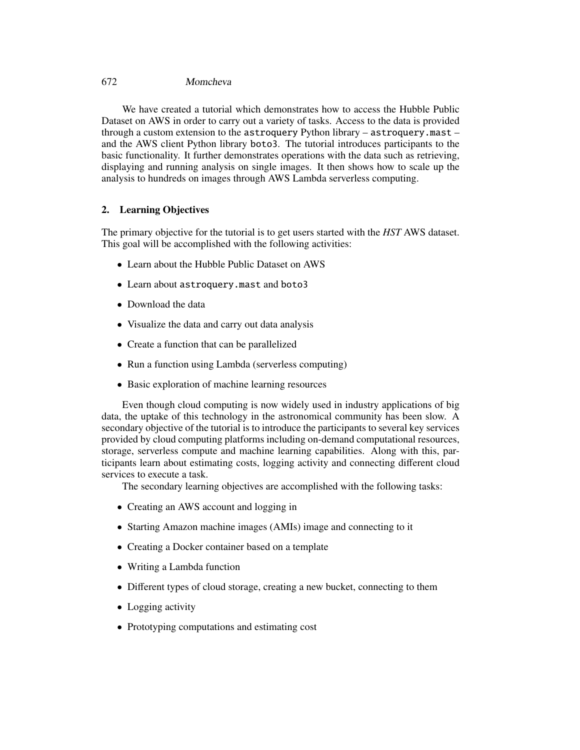### 672 Momcheva

We have created a tutorial which demonstrates how to access the Hubble Public Dataset on AWS in order to carry out a variety of tasks. Access to the data is provided through a custom extension to the astroquery Python library – astroquery.mast – and the AWS client Python library boto3. The tutorial introduces participants to the basic functionality. It further demonstrates operations with the data such as retrieving, displaying and running analysis on single images. It then shows how to scale up the analysis to hundreds on images through AWS Lambda serverless computing.

## **2. Learning Objectives**

The primary objective for the tutorial is to get users started with the *HST* AWS dataset. This goal will be accomplished with the following activities:

- Learn about the Hubble Public Dataset on AWS
- Learn about astroquery.mast and boto3
- Download the data
- Visualize the data and carry out data analysis
- Create a function that can be parallelized
- Run a function using Lambda (serverless computing)
- Basic exploration of machine learning resources

Even though cloud computing is now widely used in industry applications of big data, the uptake of this technology in the astronomical community has been slow. A secondary objective of the tutorial is to introduce the participants to several key services provided by cloud computing platforms including on-demand computational resources, storage, serverless compute and machine learning capabilities. Along with this, participants learn about estimating costs, logging activity and connecting different cloud services to execute a task.

The secondary learning objectives are accomplished with the following tasks:

- Creating an AWS account and logging in
- Starting Amazon machine images (AMIs) image and connecting to it
- Creating a Docker container based on a template
- Writing a Lambda function
- Different types of cloud storage, creating a new bucket, connecting to them
- Logging activity
- Prototyping computations and estimating cost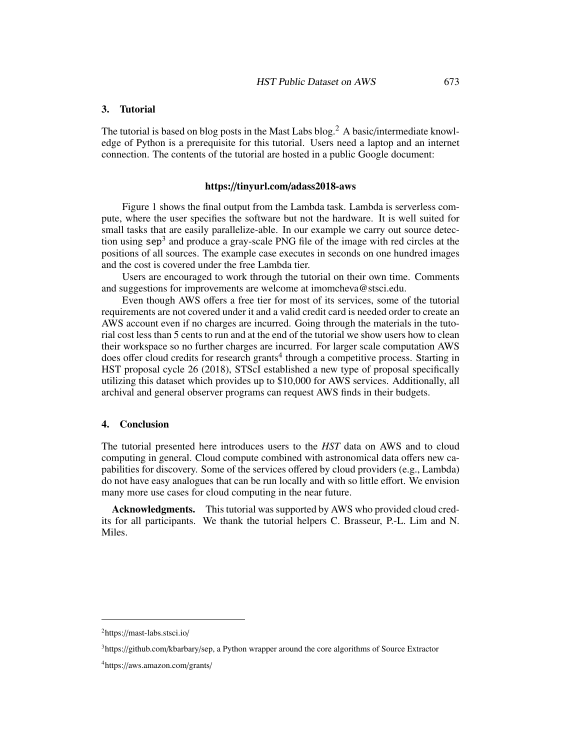### **3. Tutorial**

The tutorial is based on blog posts in the Mast Labs blog.<sup>2</sup> A basic/intermediate knowledge of Python is a prerequisite for this tutorial. Users need a laptop and an internet connection. The contents of the tutorial are hosted in a public Google document:

### **https:**//**tinyurl.com**/**adass2018-aws**

Figure 1 shows the final output from the Lambda task. Lambda is serverless compute, where the user specifies the software but not the hardware. It is well suited for small tasks that are easily parallelize-able. In our example we carry out source detection using  $\text{sep}^3$  and produce a gray-scale PNG file of the image with red circles at the positions of all sources. The example case executes in seconds on one hundred images and the cost is covered under the free Lambda tier.

Users are encouraged to work through the tutorial on their own time. Comments and suggestions for improvements are welcome at imomcheva@stsci.edu.

Even though AWS offers a free tier for most of its services, some of the tutorial requirements are not covered under it and a valid credit card is needed order to create an AWS account even if no charges are incurred. Going through the materials in the tutorial cost less than 5 cents to run and at the end of the tutorial we show users how to clean their workspace so no further charges are incurred. For larger scale computation AWS does offer cloud credits for research grants<sup>4</sup> through a competitive process. Starting in HST proposal cycle 26 (2018), STScI established a new type of proposal specifically utilizing this dataset which provides up to \$10,000 for AWS services. Additionally, all archival and general observer programs can request AWS finds in their budgets.

### **4. Conclusion**

The tutorial presented here introduces users to the *HST* data on AWS and to cloud computing in general. Cloud compute combined with astronomical data offers new capabilities for discovery. Some of the services offered by cloud providers (e.g., Lambda) do not have easy analogues that can be run locally and with so little effort. We envision many more use cases for cloud computing in the near future.

**Acknowledgments.** This tutorial was supported by AWS who provided cloud credits for all participants. We thank the tutorial helpers C. Brasseur, P.-L. Lim and N. Miles.

<sup>2</sup>https://mast-labs.stsci.io/

<sup>3</sup>https://github.com/kbarbary/sep, a Python wrapper around the core algorithms of Source Extractor

<sup>4</sup>https://aws.amazon.com/grants/